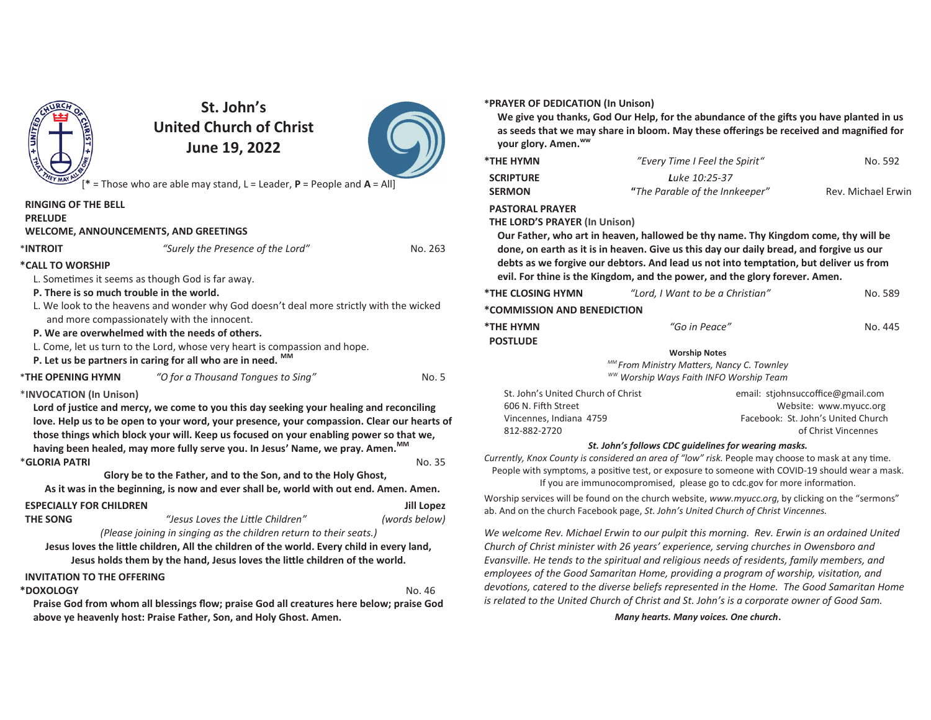

# **St. John's United Church of ChristJune 19, 2022**



[**\*** = Those who are able may stand, L = Leader, **P** = People and **A** = All]

|                                                                                                                                                                                      |                                                                                          |                   | <b>SERMON</b>                                                                                                                                                                         | "The Parable of the Innkeeper"                                                                  | Rev. Michael E                                               |
|--------------------------------------------------------------------------------------------------------------------------------------------------------------------------------------|------------------------------------------------------------------------------------------|-------------------|---------------------------------------------------------------------------------------------------------------------------------------------------------------------------------------|-------------------------------------------------------------------------------------------------|--------------------------------------------------------------|
| <b>RINGING OF THE BELL</b>                                                                                                                                                           |                                                                                          |                   | <b>PASTORAL PRAYER</b>                                                                                                                                                                |                                                                                                 |                                                              |
| <b>PRELUDE</b>                                                                                                                                                                       |                                                                                          |                   | <b>THE LORD'S PRAYER (In Unison)</b>                                                                                                                                                  |                                                                                                 |                                                              |
| <b>WELCOME, ANNOUNCEMENTS, AND GREETINGS</b>                                                                                                                                         |                                                                                          |                   |                                                                                                                                                                                       | Our Father, who art in heaven, hallowed be thy name. Thy Kingdom come, thy will be              |                                                              |
| *INTROIT                                                                                                                                                                             | "Surely the Presence of the Lord"                                                        | No. 263           |                                                                                                                                                                                       | done, on earth as it is in heaven. Give us this day our daily bread, and forgive us our         |                                                              |
| *CALL TO WORSHIP                                                                                                                                                                     |                                                                                          |                   |                                                                                                                                                                                       | debts as we forgive our debtors. And lead us not into temptation, but deliver us from           |                                                              |
|                                                                                                                                                                                      | L. Sometimes it seems as though God is far away.                                         |                   |                                                                                                                                                                                       | evil. For thine is the Kingdom, and the power, and the glory forever. Amen.                     |                                                              |
| P. There is so much trouble in the world.                                                                                                                                            |                                                                                          |                   | *THE CLOSING HYMN                                                                                                                                                                     | "Lord, I Want to be a Christian"                                                                | No. 5                                                        |
| L. We look to the heavens and wonder why God doesn't deal more strictly with the wicked                                                                                              |                                                                                          |                   | *COMMISSION AND BENEDICTION                                                                                                                                                           |                                                                                                 |                                                              |
|                                                                                                                                                                                      | and more compassionately with the innocent.                                              |                   | *THE HYMN                                                                                                                                                                             | "Go in Peace"                                                                                   | No. 4                                                        |
|                                                                                                                                                                                      | P. We are overwhelmed with the needs of others.                                          |                   | <b>POSTLUDE</b>                                                                                                                                                                       |                                                                                                 |                                                              |
| L. Come, let us turn to the Lord, whose very heart is compassion and hope.                                                                                                           |                                                                                          |                   |                                                                                                                                                                                       | <b>Worship Notes</b>                                                                            |                                                              |
| P. Let us be partners in caring for all who are in need. MM                                                                                                                          |                                                                                          |                   |                                                                                                                                                                                       | MM From Ministry Matters, Nancy C. Townley                                                      |                                                              |
| <b>*THE OPENING HYMN</b>                                                                                                                                                             | "O for a Thousand Tongues to Sing"                                                       | No. 5             |                                                                                                                                                                                       | ww Worship Ways Faith INFO Worship Team                                                         |                                                              |
| *INVOCATION (In Unison)                                                                                                                                                              |                                                                                          |                   | St. John's United Church of Christ                                                                                                                                                    |                                                                                                 | email: stjohnsuccoffice@gmail.com                            |
| Lord of justice and mercy, we come to you this day seeking your healing and reconciling                                                                                              |                                                                                          |                   | 606 N. Fifth Street<br>Vincennes, Indiana 4759                                                                                                                                        |                                                                                                 | Website: www.myucc.org<br>Facebook: St. John's United Church |
| love. Help us to be open to your word, your presence, your compassion. Clear our hearts of<br>those things which block your will. Keep us focused on your enabling power so that we, |                                                                                          |                   | 812-882-2720                                                                                                                                                                          |                                                                                                 | of Christ Vincennes                                          |
|                                                                                                                                                                                      | having been healed, may more fully serve you. In Jesus' Name, we pray. Amen. MM          |                   |                                                                                                                                                                                       | St. John's follows CDC quidelines for wearing masks.                                            |                                                              |
| *GLORIA PATRI                                                                                                                                                                        |                                                                                          | No. 35            | Currently, Knox County is considered an area of "low" risk. People may choose to mask at any time.                                                                                    |                                                                                                 |                                                              |
|                                                                                                                                                                                      | Glory be to the Father, and to the Son, and to the Holy Ghost,                           |                   |                                                                                                                                                                                       | People with symptoms, a positive test, or exposure to someone with COVID-19 should wear a ma    |                                                              |
|                                                                                                                                                                                      | As it was in the beginning, is now and ever shall be, world with out end. Amen. Amen.    |                   | If you are immunocompromised, please go to cdc.gov for more information.                                                                                                              |                                                                                                 |                                                              |
| <b>ESPECIALLY FOR CHILDREN</b>                                                                                                                                                       |                                                                                          | <b>Jill Lopez</b> |                                                                                                                                                                                       | Worship services will be found on the church website, www.myucc.org, by clicking on the "sermon |                                                              |
| <b>THE SONG</b>                                                                                                                                                                      | "Jesus Loves the Little Children"                                                        | (words below)     |                                                                                                                                                                                       | ab. And on the church Facebook page, St. John's United Church of Christ Vincennes.              |                                                              |
|                                                                                                                                                                                      | (Please joining in singing as the children return to their seats.)                       |                   |                                                                                                                                                                                       | We welcome Rev. Michael Erwin to our pulpit this morning. Rev. Erwin is an ordained Unit        |                                                              |
| Jesus loves the little children, All the children of the world. Every child in every land,                                                                                           |                                                                                          |                   | Church of Christ minister with 26 years' experience, serving churches in Owensboro and<br>Evansville. He tends to the spiritual and religious needs of residents, family members, and |                                                                                                 |                                                              |
| Jesus holds them by the hand, Jesus loves the little children of the world.                                                                                                          |                                                                                          |                   |                                                                                                                                                                                       |                                                                                                 |                                                              |
| <b>INVITATION TO THE OFFERING</b>                                                                                                                                                    |                                                                                          |                   |                                                                                                                                                                                       | employees of the Good Samaritan Home, providing a program of worship, visitation, and           |                                                              |
| *DOXOLOGY                                                                                                                                                                            |                                                                                          | No. 46            |                                                                                                                                                                                       | devotions, catered to the diverse beliefs represented in the Home. The Good Samaritan Ho        |                                                              |
|                                                                                                                                                                                      | Praise God from whom all blessings flow; praise God all creatures here below; praise God |                   |                                                                                                                                                                                       | is related to the United Church of Christ and St. John's is a corporate owner of Good Sam.      |                                                              |
|                                                                                                                                                                                      | above ye heavenly host: Praise Father, Son, and Holy Ghost. Amen.                        |                   |                                                                                                                                                                                       | Many hearts. Many voices. One church.                                                           |                                                              |
|                                                                                                                                                                                      |                                                                                          |                   |                                                                                                                                                                                       |                                                                                                 |                                                              |

#### **\*PRAYER OF DEDICATION (In Unison)**

We give you thanks, God Our Help, for the abundance of the gifts you have planted in us **as seeds that we may share in bloom. May these offerings be received and magnified for your glory. Amen.ww**

| <b>*THE HYMN</b> | "Every Time I Feel the Spirit" | No. 592            |
|------------------|--------------------------------|--------------------|
| <b>SCRIPTURE</b> | <b>L</b> uke 10:25-37          |                    |
| <b>SERMON</b>    | "The Parable of the Innkeeper" | Rev. Michael Erwin |

#### **TORAL PRAYER**

| <b>*THE CLOSING HYMN</b>                                                              | "Lord, I Want to be a Christian" | No. 589                                                     |  |  |  |  |
|---------------------------------------------------------------------------------------|----------------------------------|-------------------------------------------------------------|--|--|--|--|
| *COMMISSION AND BENEDICTION                                                           |                                  |                                                             |  |  |  |  |
| *THE HYMN<br><b>POSTLUDE</b>                                                          | "Go in Peace"                    | No. 445                                                     |  |  |  |  |
|                                                                                       | <b>Worship Notes</b>             |                                                             |  |  |  |  |
| MM From Ministry Matters, Nancy C. Townley<br>ww Worship Ways Faith INFO Worship Team |                                  |                                                             |  |  |  |  |
| St. John's United Church of Christ<br>606 N. Fifth Street                             |                                  | email: stiohnsuccoffice@gmail.com<br>Website: www.myucc.org |  |  |  |  |

#### *St. John's follows CDC guidelines for wearing masks.*

#### *Many hearts. Many voices. One church***.**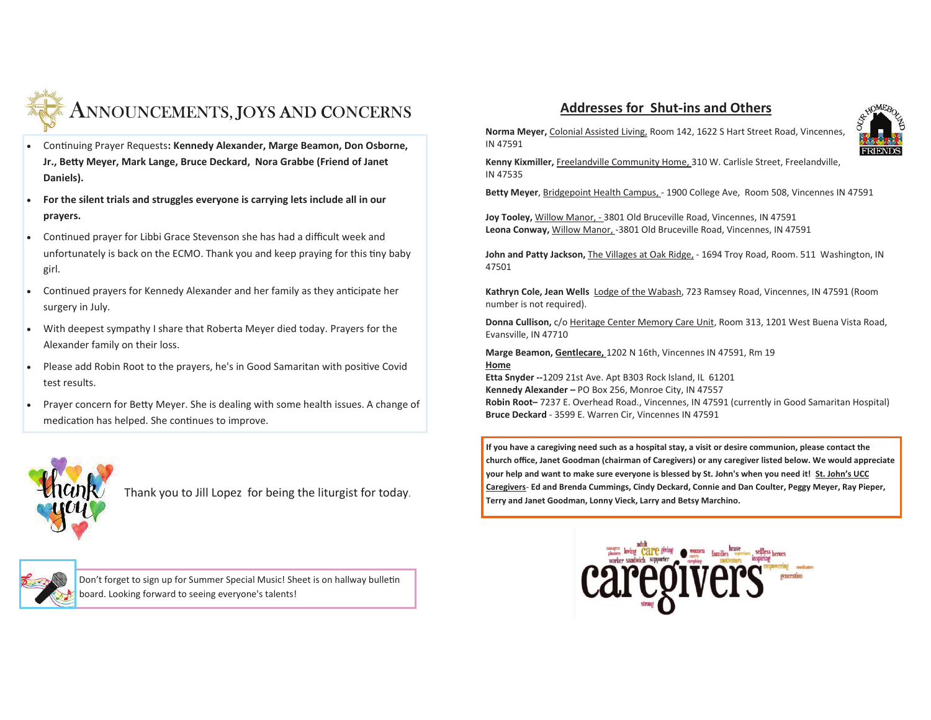

- Continuing Prayer Requests: Kennedy Alexander, Marge Beamon, Don Osborne, **Jr., Betty Meyer, Mark Lange, Bruce Deckard, Nora Grabbe (Friend of Janet Daniels).**
- · **For the silent trials and struggles everyone is carrying lets include all in our prayers.**
- Continued prayer for Libbi Grace Stevenson she has had a difficult week and unfortunately is back on the ECMO. Thank you and keep praying for this tiny baby girl.
- Continued prayers for Kennedy Alexander and her family as they anticipate her surgery in July.
- · With deepest sympathy I share that Roberta Meyer died today. Prayers for the Alexander family on their loss.
- Please add Robin Root to the prayers, he's in Good Samaritan with positive Covid test results.
- Prayer concern for Betty Meyer. She is dealing with some health issues. A change of medication has helped. She continues to improve.

Thank you to Jill Lopez for being the liturgist for today.



Don't forget to sign up for Summer Special Music! Sheet is on hallway bulletin board. Looking forward to seeing everyone's talents!

## **Addresses for Shut-ins and Others**



**Norma Meyer,** Colonial Assisted Living, Room 142, 1622 S Hart Street Road, Vincennes, IN 47591

**Kenny Kixmiller,** Freelandville Community Home, 310 W. Carlisle Street, Freelandville, IN 47535

**Betty Meyer**, Bridgepoint Health Campus, - 1900 College Ave, Room 508, Vincennes IN 47591

**Joy Tooley,** Willow Manor, - 3801 Old Bruceville Road, Vincennes, IN 47591**Leona Conway,** Willow Manor, -3801 Old Bruceville Road, Vincennes, IN 47591

John and Patty Jackson, *The Villages at Oak Ridge*, - 1694 Troy Road, Room. 511 Washington, IN 47501

**Kathryn Cole, Jean Wells** Lodge of the Wabash, 723 Ramsey Road, Vincennes, IN 47591 (Room number is not required).

**Donna Cullison,** c/o Heritage Center Memory Care Unit, Room 313, 1201 West Buena Vista Road,Evansville, IN 47710

**Marge Beamon, Gentlecare,** 1202 N 16th, Vincennes IN 47591, Rm 19**Home Etta Snyder --**1209 21st Ave. Apt B303 Rock Island, IL 61201**Kennedy Alexander –** PO Box 256, Monroe City, IN 47557 **Robin Root–** 7237 E. Overhead Road., Vincennes, IN 47591 (currently in Good Samaritan Hospital) **Bruce Deckard** - 3599 E. Warren Cir, Vincennes IN 47591

**If you have a caregiving need such as a hospital stay, a visit or desire communion, please contact thechurch office, Janet Goodman (chairman of Caregivers) or any caregiver listed below. We would appreciate your help and want to make sure everyone is blessed by St. John's when you need it! St. John's UCC Caregivers**- **Ed and Brenda Cummings, Cindy Deckard, Connie and Dan Coulter, Peggy Meyer, Ray Pieper, Terry and Janet Goodman, Lonny Vieck, Larry and Betsy Marchino.**